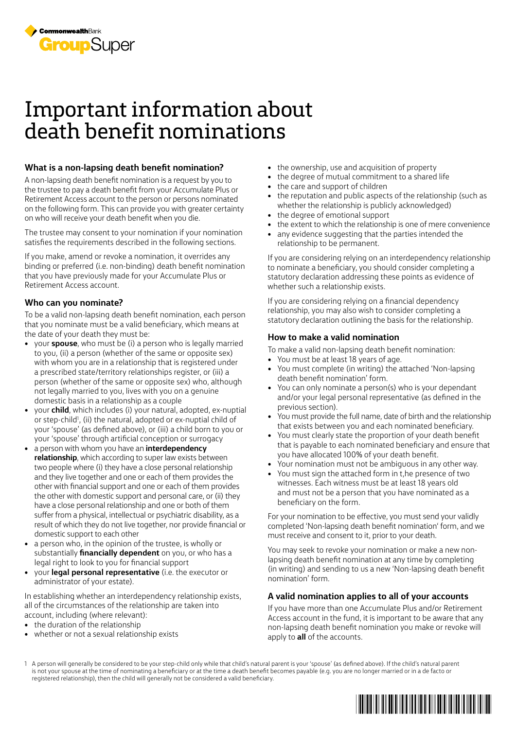

## Important information about death benefit nominations

#### **What is a non-lapsing death benefit nomination?**

A non-lapsing death benefit nomination is a request by you to the trustee to pay a death benefit from your Accumulate Plus or Retirement Access account to the person or persons nominated on the following form. This can provide you with greater certainty on who will receive your death benefit when you die.

The trustee may consent to your nomination if your nomination satisfies the requirements described in the following sections.

If you make, amend or revoke a nomination, it overrides any binding or preferred (i.e. non-binding) death benefit nomination that you have previously made for your Accumulate Plus or Retirement Access account.

#### **Who can you nominate?**

To be a valid non-lapsing death benefit nomination, each person that you nominate must be a valid beneficiary, which means at the date of your death they must be:

- your **spouse**, who must be (i) a person who is legally married to you, (ii) a person (whether of the same or opposite sex) with whom you are in a relationship that is registered under a prescribed state/territory relationships register, or (iii) a person (whether of the same or opposite sex) who, although not legally married to you, lives with you on a genuine domestic basis in a relationship as a couple
- your **child**, which includes (i) your natural, adopted, ex-nuptial or step-child<sup>1</sup>, (ii) the natural, adopted or ex-nuptial child of your 'spouse' (as defined above), or (iii) a child born to you or your 'spouse' through artificial conception or surrogacy
- a person with whom you have an **interdependency relationship**, which according to super law exists between two people where (i) they have a close personal relationship and they live together and one or each of them provides the other with financial support and one or each of them provides the other with domestic support and personal care, or (ii) they have a close personal relationship and one or both of them suffer from a physical, intellectual or psychiatric disability, as a result of which they do not live together, nor provide financial or domestic support to each other
- a person who, in the opinion of the trustee, is wholly or substantially **financially dependent** on you, or who has a legal right to look to you for financial support
- your **legal personal representative** (i.e. the executor or administrator of your estate).

In establishing whether an interdependency relationship exists, all of the circumstances of the relationship are taken into account, including (where relevant):

- the duration of the relationship
- whether or not a sexual relationship exists
- the ownership, use and acquisition of property
- the degree of mutual commitment to a shared life
- the care and support of children
- the reputation and public aspects of the relationship (such as whether the relationship is publicly acknowledged)
- the degree of emotional support
- the extent to which the relationship is one of mere convenience
- any evidence suggesting that the parties intended the relationship to be permanent.

If you are considering relying on an interdependency relationship to nominate a beneficiary, you should consider completing a statutory declaration addressing these points as evidence of whether such a relationship exists.

If you are considering relying on a financial dependency relationship, you may also wish to consider completing a statutory declaration outlining the basis for the relationship.

#### **How to make a valid nomination**

To make a valid non-lapsing death benefit nomination:

- You must be at least 18 years of age.
- You must complete (in writing) the attached 'Non-lapsing death benefit nomination' form.
- You can only nominate a person(s) who is your dependant and/or your legal personal representative (as defined in the previous section).
- You must provide the full name, date of birth and the relationship that exists between you and each nominated beneficiary.
- You must clearly state the proportion of your death benefit that is payable to each nominated beneficiary and ensure that you have allocated 100% of your death benefit.
- Your nomination must not be ambiguous in any other way.
- You must sign the attached form in t,he presence of two witnesses. Each witness must be at least 18 years old and must not be a person that you have nominated as a beneficiary on the form.

For your nomination to be effective, you must send your validly completed 'Non-lapsing death benefit nomination' form, and we must receive and consent to it, prior to your death.

You may seek to revoke your nomination or make a new nonlapsing death benefit nomination at any time by completing (in writing) and sending to us a new 'Non-lapsing death benefit nomination' form.

#### **A valid nomination applies to all of your accounts**

If you have more than one Accumulate Plus and/or Retirement Access account in the fund, it is important to be aware that any non-lapsing death benefit nomination you make or revoke will apply to **all** of the accounts.

1 A person will generally be considered to be your step-child only while that child's natural parent is your 'spouse' (as defined above). If the child's natural parent is not your spouse at the time of nominating a beneficiary or at the time a death benefit becomes payable (e.g. you are no longer married or in a de facto or registered relationship), then the child will generally not be considered a valid beneficiary.

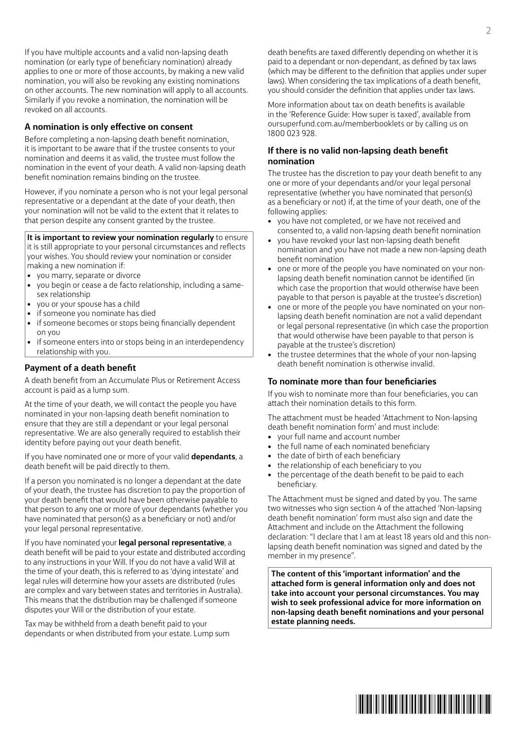If you have multiple accounts and a valid non-lapsing death nomination (or early type of beneficiary nomination) already applies to one or more of those accounts, by making a new valid nomination, you will also be revoking any existing nominations on other accounts. The new nomination will apply to all accounts. Similarly if you revoke a nomination, the nomination will be revoked on all accounts.

#### **A nomination is only effective on consent**

Before completing a non-lapsing death benefit nomination, it is important to be aware that if the trustee consents to your nomination and deems it as valid, the trustee must follow the nomination in the event of your death. A valid non-lapsing death benefit nomination remains binding on the trustee.

However, if you nominate a person who is not your legal personal representative or a dependant at the date of your death, then your nomination will not be valid to the extent that it relates to that person despite any consent granted by the trustee.

**It is important to review your nomination regularly** to ensure

it is still appropriate to your personal circumstances and reflects your wishes. You should review your nomination or consider making a new nomination if:

- you marry, separate or divorce
- you begin or cease a de facto relationship, including a samesex relationship
- you or your spouse has a child
- if someone you nominate has died
- if someone becomes or stops being financially dependent on you
- if someone enters into or stops being in an interdependency relationship with you.

#### **Payment of a death benefit**

A death benefit from an Accumulate Plus or Retirement Access account is paid as a lump sum.

At the time of your death, we will contact the people you have nominated in your non-lapsing death benefit nomination to ensure that they are still a dependant or your legal personal representative. We are also generally required to establish their identity before paying out your death benefit.

If you have nominated one or more of your valid **dependants**, a death benefit will be paid directly to them.

If a person you nominated is no longer a dependant at the date of your death, the trustee has discretion to pay the proportion of your death benefit that would have been otherwise payable to that person to any one or more of your dependants (whether you have nominated that person(s) as a beneficiary or not) and/or your legal personal representative.

If you have nominated your **legal personal representative**, a death benefit will be paid to your estate and distributed according to any instructions in your Will. If you do not have a valid Will at the time of your death, this is referred to as 'dying intestate' and legal rules will determine how your assets are distributed (rules are complex and vary between states and territories in Australia). This means that the distribution may be challenged if someone disputes your Will or the distribution of your estate.

Tax may be withheld from a death benefit paid to your dependants or when distributed from your estate. Lump sum

death benefits are taxed differently depending on whether it is paid to a dependant or non-dependant, as defined by tax laws (which may be different to the definition that applies under super laws). When considering the tax implications of a death benefit, you should consider the definition that applies under tax laws.

More information about tax on death benefits is available in the 'Reference Guide: How super is taxed', available from [oursuperfund.com.au/memberbooklets](http://oursuperfund.com.au/memberbooklets) or by calling us on 1800 023 928.

#### **If there is no valid non-lapsing death benefit nomination**

The trustee has the discretion to pay your death benefit to any one or more of your dependants and/or your legal personal representative (whether you have nominated that person(s) as a beneficiary or not) if, at the time of your death, one of the following applies:

- you have not completed, or we have not received and consented to, a valid non-lapsing death benefit nomination
- you have revoked your last non-lapsing death benefit nomination and you have not made a new non-lapsing death benefit nomination
- one or more of the people you have nominated on your nonlapsing death benefit nomination cannot be identified (in which case the proportion that would otherwise have been payable to that person is payable at the trustee's discretion)
- one or more of the people you have nominated on your nonlapsing death benefit nomination are not a valid dependant or legal personal representative (in which case the proportion that would otherwise have been payable to that person is payable at the trustee's discretion)
- the trustee determines that the whole of your non-lapsing death benefit nomination is otherwise invalid.

### **To nominate more than four beneficiaries**

If you wish to nominate more than four beneficiaries, you can attach their nomination details to this form.

The attachment must be headed 'Attachment to Non-lapsing death benefit nomination form' and must include:

- your full name and account number
- the full name of each nominated beneficiary
- the date of birth of each beneficiary
- the relationship of each beneficiary to you
- the percentage of the death benefit to be paid to each beneficiary.

The Attachment must be signed and dated by you. The same two witnesses who sign section 4 of the attached 'Non-lapsing death benefit nomination' form must also sign and date the Attachment and include on the Attachment the following declaration: "I declare that I am at least 18 years old and this nonlapsing death benefit nomination was signed and dated by the member in my presence".

**The content of this 'important information' and the attached form is general information only and does not take into account your personal circumstances. You may wish to seek professional advice for more information on non-lapsing death benefit nominations and your personal estate planning needs.**

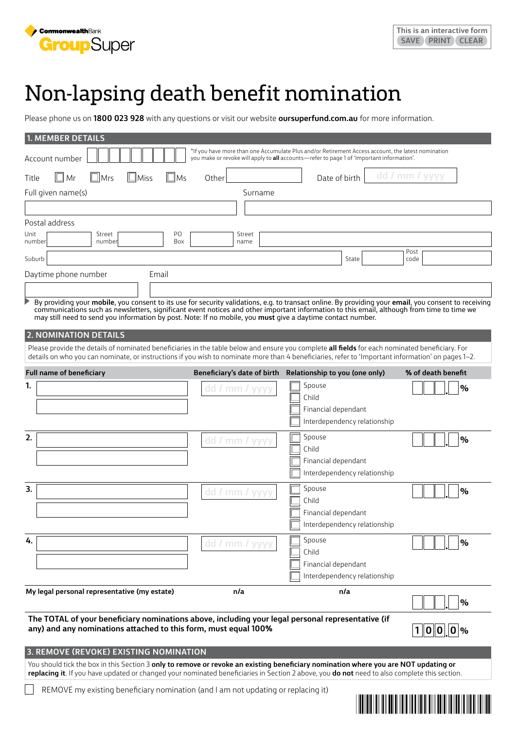

# Non-lapsing death benefit nomination

Please phone us on **1800 023 928** with any questions or visit our website **[oursuperfund.com.au](http://oursuperfund.com.au)** for more information.

| 1. MEMBER DETAILS                                                                                                                                                                                                                                                                                                                                                                                                                                                                                                                                                                                                                                                                                                                                           |                             |                                                                                                                                                                                                        |                                                                                                                      |  |  |  |  |  |  |  |  |
|-------------------------------------------------------------------------------------------------------------------------------------------------------------------------------------------------------------------------------------------------------------------------------------------------------------------------------------------------------------------------------------------------------------------------------------------------------------------------------------------------------------------------------------------------------------------------------------------------------------------------------------------------------------------------------------------------------------------------------------------------------------|-----------------------------|--------------------------------------------------------------------------------------------------------------------------------------------------------------------------------------------------------|----------------------------------------------------------------------------------------------------------------------|--|--|--|--|--|--|--|--|
| Account number                                                                                                                                                                                                                                                                                                                                                                                                                                                                                                                                                                                                                                                                                                                                              |                             | If you have more than one Accumulate Plus and/or Retirement Access account, the latest nomination*<br>you make or revoke will apply to <b>all</b> accounts—refer to page 1 of 'Important information'. |                                                                                                                      |  |  |  |  |  |  |  |  |
| dd / mm / yyyy<br>∣∟∣ Mr<br>$\Box$ Mrs<br>$\Box$ Miss<br>$\Box$ Ms<br>Date of birth<br>Other<br>Title                                                                                                                                                                                                                                                                                                                                                                                                                                                                                                                                                                                                                                                       |                             |                                                                                                                                                                                                        |                                                                                                                      |  |  |  |  |  |  |  |  |
| Full given name(s)                                                                                                                                                                                                                                                                                                                                                                                                                                                                                                                                                                                                                                                                                                                                          | Surname                     |                                                                                                                                                                                                        |                                                                                                                      |  |  |  |  |  |  |  |  |
|                                                                                                                                                                                                                                                                                                                                                                                                                                                                                                                                                                                                                                                                                                                                                             |                             |                                                                                                                                                                                                        |                                                                                                                      |  |  |  |  |  |  |  |  |
| Postal address                                                                                                                                                                                                                                                                                                                                                                                                                                                                                                                                                                                                                                                                                                                                              |                             |                                                                                                                                                                                                        |                                                                                                                      |  |  |  |  |  |  |  |  |
| PO<br>Unit<br>Street<br>Box<br>number<br>number                                                                                                                                                                                                                                                                                                                                                                                                                                                                                                                                                                                                                                                                                                             | Street<br>name              |                                                                                                                                                                                                        |                                                                                                                      |  |  |  |  |  |  |  |  |
| Suburb                                                                                                                                                                                                                                                                                                                                                                                                                                                                                                                                                                                                                                                                                                                                                      |                             | State                                                                                                                                                                                                  | Post<br>code                                                                                                         |  |  |  |  |  |  |  |  |
| Daytime phone number<br>Email                                                                                                                                                                                                                                                                                                                                                                                                                                                                                                                                                                                                                                                                                                                               |                             |                                                                                                                                                                                                        |                                                                                                                      |  |  |  |  |  |  |  |  |
|                                                                                                                                                                                                                                                                                                                                                                                                                                                                                                                                                                                                                                                                                                                                                             |                             |                                                                                                                                                                                                        |                                                                                                                      |  |  |  |  |  |  |  |  |
| By providing your mobile, you consent to its use for security validations, e.g. to transact online. By providing your email, you consent to receiving<br>communications such as newsletters, significant event notices and other important information to this email, although from time to time we<br>may still need to send you information by post. Note: If no mobile, you must give a daytime contact number.<br><b>2. NOMINATION DETAILS</b><br>Please provide the details of nominated beneficiaries in the table below and ensure you complete all fields for each nominated beneficiary. For<br>details on who you can nominate, or instructions if you wish to nominate more than 4 beneficiaries, refer to 'Important information' on pages 1-2. |                             |                                                                                                                                                                                                        |                                                                                                                      |  |  |  |  |  |  |  |  |
| <b>Full name of beneficiary</b>                                                                                                                                                                                                                                                                                                                                                                                                                                                                                                                                                                                                                                                                                                                             | Beneficiary's date of birth | Relationship to you (one only)                                                                                                                                                                         | % of death benefit                                                                                                   |  |  |  |  |  |  |  |  |
| 1.                                                                                                                                                                                                                                                                                                                                                                                                                                                                                                                                                                                                                                                                                                                                                          | dd / mm / yyyy              | Spouse<br>Child<br>Financial dependant<br>Interdependency relationship                                                                                                                                 | %                                                                                                                    |  |  |  |  |  |  |  |  |
| 2.                                                                                                                                                                                                                                                                                                                                                                                                                                                                                                                                                                                                                                                                                                                                                          | dd / mm / yyyy              | Spouse<br>Child<br>Financial dependant<br>Interdependency relationship                                                                                                                                 | $\frac{0}{0}$                                                                                                        |  |  |  |  |  |  |  |  |
| 3.                                                                                                                                                                                                                                                                                                                                                                                                                                                                                                                                                                                                                                                                                                                                                          | dd / mm / yyyy              | Spouse<br>Child<br>Financial dependant<br>Interdependency relationship                                                                                                                                 | $\frac{6}{6}$                                                                                                        |  |  |  |  |  |  |  |  |
| 4.                                                                                                                                                                                                                                                                                                                                                                                                                                                                                                                                                                                                                                                                                                                                                          | dd / mm / yyyy              | Spouse<br>Child<br>Financial dependant<br>Interdependency relationship                                                                                                                                 | %                                                                                                                    |  |  |  |  |  |  |  |  |
| My legal personal representative (my estate)                                                                                                                                                                                                                                                                                                                                                                                                                                                                                                                                                                                                                                                                                                                | n/a                         | n/a                                                                                                                                                                                                    | %                                                                                                                    |  |  |  |  |  |  |  |  |
| The TOTAL of your beneficiary nominations above, including your legal personal representative (if<br>any) and any nominations attached to this form, must equal 100%                                                                                                                                                                                                                                                                                                                                                                                                                                                                                                                                                                                        |                             |                                                                                                                                                                                                        | $1 0 0 0 \%$                                                                                                         |  |  |  |  |  |  |  |  |
| 3. REMOVE (REVOKE) EXISTING NOMINATION                                                                                                                                                                                                                                                                                                                                                                                                                                                                                                                                                                                                                                                                                                                      |                             |                                                                                                                                                                                                        |                                                                                                                      |  |  |  |  |  |  |  |  |
| You should tick the box in this Section 3 only to remove or revoke an existing beneficiary nomination where you are NOT updating or<br>replacing it. If you have updated or changed your nominated beneficiaries in Section 2 above, you do not need to also complete this section.                                                                                                                                                                                                                                                                                                                                                                                                                                                                         |                             |                                                                                                                                                                                                        |                                                                                                                      |  |  |  |  |  |  |  |  |
| REMOVE my existing beneficiary nomination (and I am not updating or replacing it)                                                                                                                                                                                                                                                                                                                                                                                                                                                                                                                                                                                                                                                                           |                             |                                                                                                                                                                                                        | <u> III. Alan III. Alan III. Alan III. Alan III. Alan III. Alan III. Alan III. Alan III. Alan III. Alan III. Ala</u> |  |  |  |  |  |  |  |  |